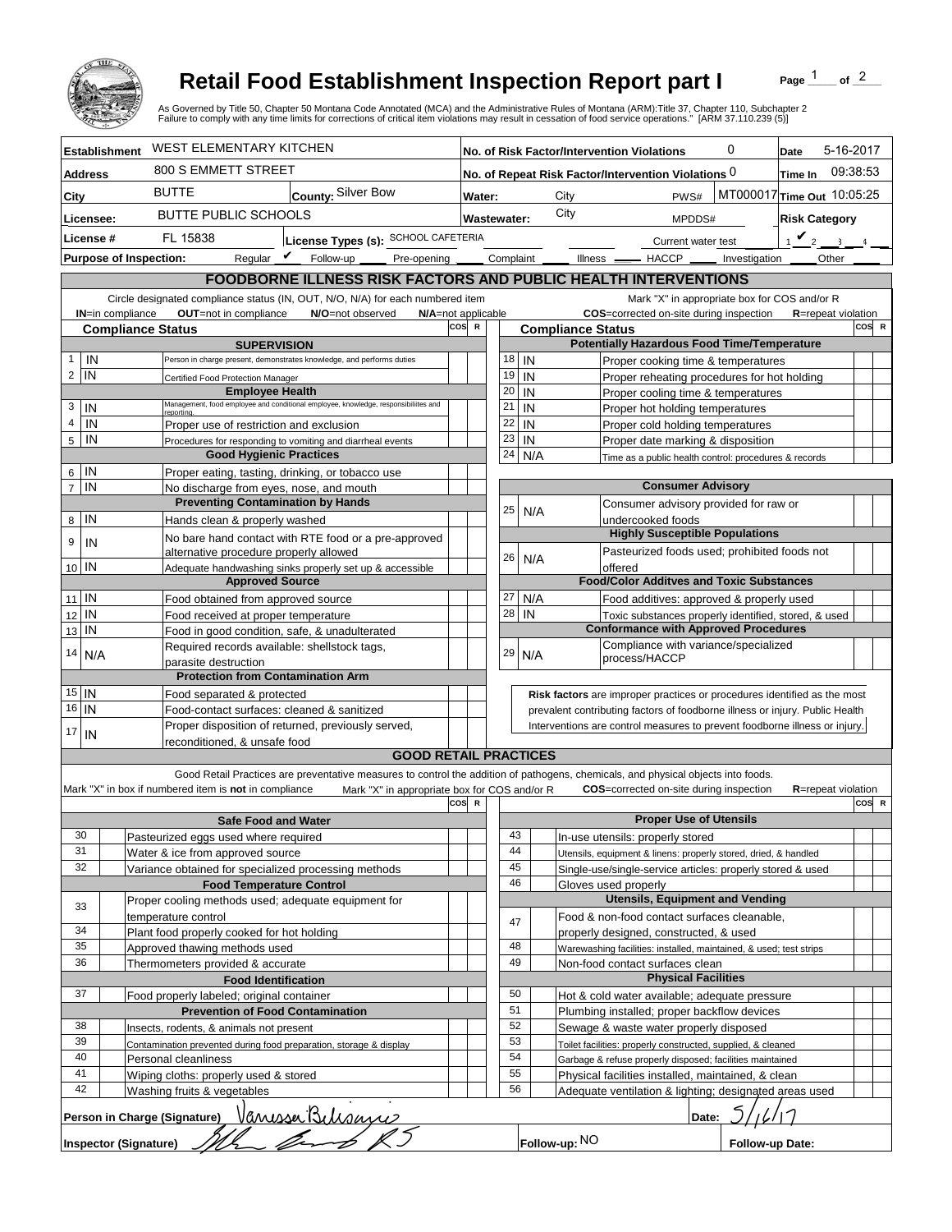

## **Retail Food Establishment Inspection Report part I**

Page  $\frac{1}{1}$  of  $\frac{2}{1}$ 

|                           |                               |                                                       | <b>Retail Food Establishment Inspection Report part I</b><br>As Governed by Title 50, Chapter 50 Montana Code Annotated (MCA) and the Administrative Rules of Montana (ARM):Title 37, Chapter 110, Subchapter 2<br>Failure to comply with any time limits for corrections of critical item violations may result in cessation of food service operations." [ARM 37.110.239 (5)] |     |                                                                                                             |             |                                                                                |                                            |                      |                                                               |                                                                                            | Page                                                                                                                                                     | of $2$    |  |
|---------------------------|-------------------------------|-------------------------------------------------------|---------------------------------------------------------------------------------------------------------------------------------------------------------------------------------------------------------------------------------------------------------------------------------------------------------------------------------------------------------------------------------|-----|-------------------------------------------------------------------------------------------------------------|-------------|--------------------------------------------------------------------------------|--------------------------------------------|----------------------|---------------------------------------------------------------|--------------------------------------------------------------------------------------------|----------------------------------------------------------------------------------------------------------------------------------------------------------|-----------|--|
|                           | <b>Establishment</b>          | <b>WEST ELEMENTARY KITCHEN</b>                        |                                                                                                                                                                                                                                                                                                                                                                                 |     |                                                                                                             |             |                                                                                | No. of Risk Factor/Intervention Violations |                      |                                                               | 0                                                                                          | Date                                                                                                                                                     | 5-16-2017 |  |
| <b>Address</b>            |                               | 800 S EMMETT STREET                                   |                                                                                                                                                                                                                                                                                                                                                                                 |     |                                                                                                             |             |                                                                                |                                            |                      |                                                               |                                                                                            | Time In                                                                                                                                                  | 09:38:53  |  |
| City                      |                               | <b>BUTTE</b>                                          | County: Silver Bow                                                                                                                                                                                                                                                                                                                                                              |     | No. of Repeat Risk Factor/Intervention Violations 0<br>MT000017 Time Out 10:05:25<br>City<br>PWS#<br>Water: |             |                                                                                |                                            |                      |                                                               |                                                                                            |                                                                                                                                                          |           |  |
|                           |                               | <b>BUTTE PUBLIC SCHOOLS</b>                           |                                                                                                                                                                                                                                                                                                                                                                                 |     |                                                                                                             |             |                                                                                | City                                       |                      |                                                               |                                                                                            |                                                                                                                                                          |           |  |
| Licensee:                 |                               |                                                       |                                                                                                                                                                                                                                                                                                                                                                                 |     |                                                                                                             | Wastewater: |                                                                                |                                            |                      | MPDDS#                                                        |                                                                                            | <b>Risk Category</b>                                                                                                                                     |           |  |
| License #                 |                               | FL 15838                                              | License Types (s): SCHOOL CAFETERIA                                                                                                                                                                                                                                                                                                                                             |     |                                                                                                             |             |                                                                                |                                            |                      | Current water test                                            |                                                                                            | $\mathbf{v}_2$<br>$\sim$ 3.1                                                                                                                             |           |  |
|                           | <b>Purpose of Inspection:</b> |                                                       | Regular $\mathcal{V}$ Follow-up ____<br>Pre-opening                                                                                                                                                                                                                                                                                                                             |     |                                                                                                             | Complaint   |                                                                                |                                            | Illness —            | $-$ HACCP $-$                                                 | Investigation                                                                              | Other                                                                                                                                                    |           |  |
|                           |                               |                                                       | <b>FOODBORNE ILLNESS RISK FACTORS AND PUBLIC HEALTH INTERVENTIONS</b>                                                                                                                                                                                                                                                                                                           |     |                                                                                                             |             |                                                                                |                                            |                      |                                                               |                                                                                            |                                                                                                                                                          |           |  |
|                           |                               |                                                       | Circle designated compliance status (IN, OUT, N/O, N/A) for each numbered item                                                                                                                                                                                                                                                                                                  |     |                                                                                                             |             |                                                                                |                                            |                      |                                                               |                                                                                            | Mark "X" in appropriate box for COS and/or R                                                                                                             |           |  |
|                           | <b>IN=in compliance</b>       | OUT=not in compliance<br><b>Compliance Status</b>     | N/O=not observed<br>N/A=not applicable                                                                                                                                                                                                                                                                                                                                          | cos | $\mathbb{R}$                                                                                                |             |                                                                                |                                            |                      |                                                               | COS=corrected on-site during inspection                                                    | <b>R</b> =repeat violation                                                                                                                               | COS R     |  |
|                           |                               |                                                       | <b>SUPERVISION</b>                                                                                                                                                                                                                                                                                                                                                              |     |                                                                                                             |             | <b>Compliance Status</b><br><b>Potentially Hazardous Food Time/Temperature</b> |                                            |                      |                                                               |                                                                                            |                                                                                                                                                          |           |  |
| IN<br>$\mathbf{1}$        |                               |                                                       | Person in charge present, demonstrates knowledge, and performs duties                                                                                                                                                                                                                                                                                                           |     |                                                                                                             | 18          | IN                                                                             |                                            |                      |                                                               | Proper cooking time & temperatures                                                         |                                                                                                                                                          |           |  |
| $\overline{2}$<br>IN      |                               | Certified Food Protection Manager                     |                                                                                                                                                                                                                                                                                                                                                                                 |     |                                                                                                             | 19          | IN                                                                             |                                            |                      |                                                               | Proper reheating procedures for hot holding                                                |                                                                                                                                                          |           |  |
|                           |                               |                                                       | <b>Employee Health</b><br>Management, food employee and conditional employee, knowledge, responsibiliites and                                                                                                                                                                                                                                                                   |     |                                                                                                             | 20          | IN                                                                             |                                            |                      |                                                               | Proper cooling time & temperatures                                                         |                                                                                                                                                          |           |  |
| 3<br>IN<br>$\overline{4}$ |                               | reportina.                                            |                                                                                                                                                                                                                                                                                                                                                                                 |     |                                                                                                             | 21          | IN                                                                             |                                            |                      | Proper hot holding temperatures                               |                                                                                            |                                                                                                                                                          |           |  |
| IN<br>5<br>IN             |                               |                                                       | Proper use of restriction and exclusion                                                                                                                                                                                                                                                                                                                                         |     |                                                                                                             | 22<br>23    | IN<br>IN                                                                       |                                            |                      |                                                               | Proper cold holding temperatures                                                           |                                                                                                                                                          |           |  |
|                           |                               |                                                       | Procedures for responding to vomiting and diarrheal events<br><b>Good Hygienic Practices</b>                                                                                                                                                                                                                                                                                    |     |                                                                                                             | 24          | N/A                                                                            |                                            |                      |                                                               | Proper date marking & disposition<br>Time as a public health control: procedures & records |                                                                                                                                                          |           |  |
| IN<br>6                   |                               |                                                       | Proper eating, tasting, drinking, or tobacco use                                                                                                                                                                                                                                                                                                                                |     |                                                                                                             |             |                                                                                |                                            |                      |                                                               |                                                                                            |                                                                                                                                                          |           |  |
| $\overline{7}$<br>IN      |                               |                                                       | No discharge from eyes, nose, and mouth                                                                                                                                                                                                                                                                                                                                         |     |                                                                                                             |             |                                                                                |                                            |                      | <b>Consumer Advisory</b>                                      |                                                                                            |                                                                                                                                                          |           |  |
|                           |                               |                                                       | <b>Preventing Contamination by Hands</b>                                                                                                                                                                                                                                                                                                                                        |     |                                                                                                             | 25          | N/A                                                                            |                                            |                      |                                                               | Consumer advisory provided for raw or                                                      |                                                                                                                                                          |           |  |
| IN<br>8                   |                               | Hands clean & properly washed                         |                                                                                                                                                                                                                                                                                                                                                                                 |     |                                                                                                             |             |                                                                                |                                            |                      | undercooked foods                                             |                                                                                            |                                                                                                                                                          |           |  |
| 9<br>IN                   |                               |                                                       | No bare hand contact with RTE food or a pre-approved                                                                                                                                                                                                                                                                                                                            |     |                                                                                                             |             |                                                                                |                                            |                      |                                                               | <b>Highly Susceptible Populations</b>                                                      |                                                                                                                                                          |           |  |
| 10 IN                     |                               |                                                       | alternative procedure properly allowed                                                                                                                                                                                                                                                                                                                                          |     |                                                                                                             | 26          | N/A                                                                            |                                            | offered              |                                                               | Pasteurized foods used; prohibited foods not                                               |                                                                                                                                                          |           |  |
|                           |                               |                                                       | Adequate handwashing sinks properly set up & accessible<br><b>Approved Source</b>                                                                                                                                                                                                                                                                                               |     |                                                                                                             |             |                                                                                |                                            |                      |                                                               | <b>Food/Color Additves and Toxic Substances</b>                                            |                                                                                                                                                          |           |  |
| $11$ IN                   |                               |                                                       | Food obtained from approved source                                                                                                                                                                                                                                                                                                                                              |     |                                                                                                             | 27          | N/A                                                                            |                                            |                      |                                                               | Food additives: approved & properly used                                                   |                                                                                                                                                          |           |  |
| IN<br>12                  |                               |                                                       | Food received at proper temperature                                                                                                                                                                                                                                                                                                                                             |     |                                                                                                             | 28          | IN                                                                             |                                            |                      |                                                               |                                                                                            | Toxic substances properly identified, stored, & used                                                                                                     |           |  |
| IN<br>13                  |                               |                                                       | Food in good condition, safe, & unadulterated                                                                                                                                                                                                                                                                                                                                   |     |                                                                                                             |             |                                                                                |                                            |                      |                                                               | <b>Conformance with Approved Procedures</b>                                                |                                                                                                                                                          |           |  |
| 14<br>N/A                 |                               |                                                       | Required records available: shellstock tags,                                                                                                                                                                                                                                                                                                                                    |     |                                                                                                             | 29          | N/A                                                                            |                                            |                      |                                                               | Compliance with variance/specialized                                                       |                                                                                                                                                          |           |  |
|                           |                               | parasite destruction                                  |                                                                                                                                                                                                                                                                                                                                                                                 |     |                                                                                                             |             |                                                                                |                                            | process/HACCP        |                                                               |                                                                                            |                                                                                                                                                          |           |  |
|                           |                               |                                                       | <b>Protection from Contamination Arm</b>                                                                                                                                                                                                                                                                                                                                        |     |                                                                                                             |             |                                                                                |                                            |                      |                                                               |                                                                                            |                                                                                                                                                          |           |  |
| $15$ IN<br>$16$   IN      |                               |                                                       | Food separated & protected<br>Food-contact surfaces: cleaned & sanitized                                                                                                                                                                                                                                                                                                        |     |                                                                                                             |             |                                                                                |                                            |                      |                                                               |                                                                                            | Risk factors are improper practices or procedures identified as the most<br>prevalent contributing factors of foodborne illness or injury. Public Health |           |  |
|                           |                               |                                                       | Proper disposition of returned, previously served,                                                                                                                                                                                                                                                                                                                              |     |                                                                                                             |             |                                                                                |                                            |                      |                                                               |                                                                                            | Interventions are control measures to prevent foodborne illness or injury.                                                                               |           |  |
| 17<br>IN                  |                               | reconditioned. & unsafe food                          |                                                                                                                                                                                                                                                                                                                                                                                 |     |                                                                                                             |             |                                                                                |                                            |                      |                                                               |                                                                                            |                                                                                                                                                          |           |  |
|                           |                               |                                                       | <b>GOOD RETAIL PRACTICES</b>                                                                                                                                                                                                                                                                                                                                                    |     |                                                                                                             |             |                                                                                |                                            |                      |                                                               |                                                                                            |                                                                                                                                                          |           |  |
|                           |                               |                                                       | Good Retail Practices are preventative measures to control the addition of pathogens, chemicals, and physical objects into foods.                                                                                                                                                                                                                                               |     |                                                                                                             |             |                                                                                |                                            |                      |                                                               |                                                                                            |                                                                                                                                                          |           |  |
|                           |                               | Mark "X" in box if numbered item is not in compliance | Mark "X" in appropriate box for COS and/or R                                                                                                                                                                                                                                                                                                                                    | cos | $\mathbf R$                                                                                                 |             |                                                                                |                                            |                      |                                                               | <b>COS</b> =corrected on-site during inspection                                            | <b>R</b> =repeat violation                                                                                                                               | COS R     |  |
|                           |                               |                                                       | <b>Safe Food and Water</b>                                                                                                                                                                                                                                                                                                                                                      |     |                                                                                                             |             |                                                                                |                                            |                      | <b>Proper Use of Utensils</b>                                 |                                                                                            |                                                                                                                                                          |           |  |
| 30                        |                               | Pasteurized eggs used where required                  |                                                                                                                                                                                                                                                                                                                                                                                 |     |                                                                                                             | 43          |                                                                                |                                            |                      | In-use utensils: properly stored                              |                                                                                            |                                                                                                                                                          |           |  |
| 31                        |                               | Water & ice from approved source                      |                                                                                                                                                                                                                                                                                                                                                                                 |     |                                                                                                             | 44          |                                                                                |                                            |                      |                                                               | Utensils, equipment & linens: properly stored, dried, & handled                            |                                                                                                                                                          |           |  |
| 32                        |                               |                                                       | Variance obtained for specialized processing methods                                                                                                                                                                                                                                                                                                                            |     |                                                                                                             | 45          |                                                                                |                                            |                      |                                                               | Single-use/single-service articles: properly stored & used                                 |                                                                                                                                                          |           |  |
|                           |                               |                                                       | <b>Food Temperature Control</b>                                                                                                                                                                                                                                                                                                                                                 |     |                                                                                                             | 46          |                                                                                |                                            | Gloves used properly |                                                               |                                                                                            |                                                                                                                                                          |           |  |
| 33                        |                               |                                                       | Proper cooling methods used; adequate equipment for                                                                                                                                                                                                                                                                                                                             |     |                                                                                                             |             |                                                                                |                                            |                      |                                                               | <b>Utensils, Equipment and Vending</b>                                                     |                                                                                                                                                          |           |  |
|                           |                               | temperature control                                   |                                                                                                                                                                                                                                                                                                                                                                                 |     |                                                                                                             | 47          |                                                                                |                                            |                      |                                                               | Food & non-food contact surfaces cleanable,                                                |                                                                                                                                                          |           |  |
| 34                        |                               | Plant food properly cooked for hot holding            |                                                                                                                                                                                                                                                                                                                                                                                 |     |                                                                                                             |             |                                                                                |                                            |                      | properly designed, constructed, & used                        |                                                                                            |                                                                                                                                                          |           |  |
| 35<br>36                  |                               | Approved thawing methods used                         |                                                                                                                                                                                                                                                                                                                                                                                 |     |                                                                                                             | 48<br>49    |                                                                                |                                            |                      |                                                               | Warewashing facilities: installed, maintained, & used; test strips                         |                                                                                                                                                          |           |  |
|                           |                               | Thermometers provided & accurate                      | <b>Food Identification</b>                                                                                                                                                                                                                                                                                                                                                      |     |                                                                                                             |             |                                                                                |                                            |                      | Non-food contact surfaces clean<br><b>Physical Facilities</b> |                                                                                            |                                                                                                                                                          |           |  |
| 37                        |                               | Food properly labeled; original container             |                                                                                                                                                                                                                                                                                                                                                                                 |     |                                                                                                             | 50          |                                                                                |                                            |                      |                                                               | Hot & cold water available; adequate pressure                                              |                                                                                                                                                          |           |  |
|                           |                               |                                                       | <b>Prevention of Food Contamination</b>                                                                                                                                                                                                                                                                                                                                         |     |                                                                                                             | 51          |                                                                                |                                            |                      |                                                               | Plumbing installed; proper backflow devices                                                |                                                                                                                                                          |           |  |
| 38                        |                               | Insects, rodents, & animals not present               |                                                                                                                                                                                                                                                                                                                                                                                 |     |                                                                                                             | 52          |                                                                                |                                            |                      | Sewage & waste water properly disposed                        |                                                                                            |                                                                                                                                                          |           |  |
| 39                        |                               |                                                       | Contamination prevented during food preparation, storage & display                                                                                                                                                                                                                                                                                                              |     |                                                                                                             | 53          |                                                                                |                                            |                      |                                                               | Toilet facilities: properly constructed, supplied, & cleaned                               |                                                                                                                                                          |           |  |
| 40                        |                               | Personal cleanliness                                  |                                                                                                                                                                                                                                                                                                                                                                                 |     |                                                                                                             | 54          |                                                                                |                                            |                      |                                                               | Garbage & refuse properly disposed; facilities maintained                                  |                                                                                                                                                          |           |  |
| 41                        |                               | Wiping cloths: properly used & stored                 |                                                                                                                                                                                                                                                                                                                                                                                 |     |                                                                                                             | 55          |                                                                                |                                            |                      |                                                               | Physical facilities installed, maintained, & clean                                         |                                                                                                                                                          |           |  |
| 42                        |                               | Washing fruits & vegetables                           |                                                                                                                                                                                                                                                                                                                                                                                 |     |                                                                                                             | 56          |                                                                                |                                            |                      |                                                               | Adequate ventilation & lighting; designated areas used                                     |                                                                                                                                                          |           |  |
|                           |                               | Person in Charge (Signature)                          | Vanissa Bilisanie                                                                                                                                                                                                                                                                                                                                                               |     |                                                                                                             |             |                                                                                |                                            |                      | Date:                                                         |                                                                                            |                                                                                                                                                          |           |  |
|                           | <b>Inspector (Signature)</b>  |                                                       |                                                                                                                                                                                                                                                                                                                                                                                 |     |                                                                                                             |             |                                                                                | Follow-up: NO                              |                      |                                                               | Follow-up Date:                                                                            |                                                                                                                                                          |           |  |